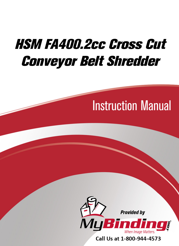# HSM FA400.2cc Cross Cut [Conveyor Belt Shredder](https://www.mybinding.com/hsm-fa400-2cc-cross-cut-conveyor-belt-shredder.html)

# Instruction Manual



Call Us at 1-800-944-4573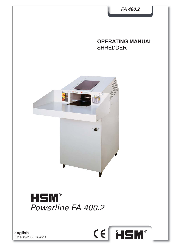

**english** 1.513.999.112 B – 08/2013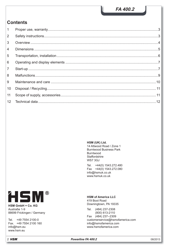# **Contents**

| $\mathbf{1}$   |  |
|----------------|--|
| $\overline{2}$ |  |
| 3              |  |
| $\overline{4}$ |  |
| 5              |  |
| 6              |  |
| $\overline{7}$ |  |
| 8              |  |
| 9              |  |
| 10             |  |
| 11             |  |
| 12             |  |

**HSM (UK) Ltd.**

14 Attwood Road / Zone 1 Burntwood Business Park Burntwood **Staffordshire** WS7 3GJ

Tel. +44(0) 1543.272.480 Fax +44(0) 1543.272.080 info@hsmuk.co.uk www.hsmuk.co.uk



**HSM GmbH + Co. KG** Austraße 1-9 88699 Frickingen / Germany

Tel. +49 7554 2100-0 Fax. +49 7554 2100 160 info@hsm.eu www.hsm.eu

**HSM of America LLC** 419 Boot Road

Downingtown, PA 19335

Tel. (484) 237-2308 (800) 613-2110 Fax (484) 237--2309 customerservice@hsmofamerica.com info@hsmofamerica.com www.hsmofamerica.com

2 **Powerline FA 400.2** 08/2013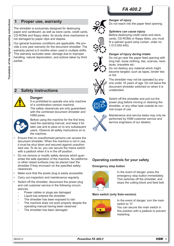#### *Danger of injury* Do not reach into the paper feed opening.

#### *Splinters can cause injury*

Before destroying credit cards and store cards, CD-ROMs or floppy disks, you must fit a splinter guard (strip curtain, order no. 1.513.050.445).

#### *Danger of injury during intake*



Do not destroy any material which might become tangled, such as tapes, binder ties or foil.



The shredder may not be operated by anyone under 16 years of age. Do not leave the document shredder switched on when it is unattended.



Switch off the shredder and pull out the power plug before moving or cleaning the shredder, or any other task outside its normal scope of use.

Maintenance and service tasks may only be performed by HSM customer service and service engineers of our dealers.

#### **Operating controls for your safety**

#### **Emergency stop button**



In the event of danger, press the emergency stop button immediately. This switches off the shredder, and stops the cutting block and feed belt.

#### **Main switch (only Solo-version)**



In the event of danger, turn the main switch to "0".

You can secure the main switch in this position with a padlock to prevent restarting.

#### **1 Proper use, warranty**

The shredder is exclusively designed for destroying paper and cardboard, as well as store cards, credit cards, CD-ROMs and floppy disks. Its sturdy drive mechanism is not damaged by paper clips and staples.

Our general business conditions are applicable. We provide a one year warranty for the document shredder. The warranty period is 6 months when used in multiple shifts. This warranty excludes wear, damage due to improper handling, natural depreciation, and actions taken by third parties.





#### **Danger:**

It is prohibited to operate one only machine of a combination-version machine.

The safety clearances are only guaranteed with the combined document shredder and HSM press.



Before using the machine for the first time. read the operating manual, and keep it for later use and to pass on to any subsequent users. Observe all safety instructions on to the machine.

- Ensure that no unauthorised persons can access the document shredder. When the machine is not in use, it must be shut down and secured against unauthorised use. To do so, you can secure the mains switch with a padlock when it is in the off position.
- Do not remove or modify safety devices which guarantee the safe operation of the machine. No platforms or other raised surfaces may be placed near the shredder if they encroach on the specified safety clearances.
- Make sure that the power plug is easily accessible.
- Carry out inspection and maintenance regularly.
- Switch off the shredder, disconnect the power plug and call customer service in the following circumstances:
	- Power cables or plugs are damaged
	- Liquid has entered the shredder
	- The shredder has been exposed to rain
	- The machine does not work properly despite the operating manual having been observed
	- The shredder has been damaged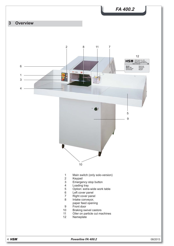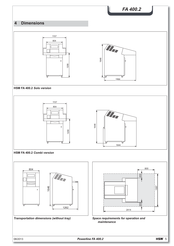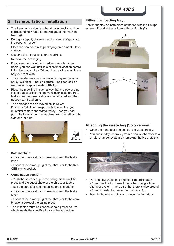# **5 Transportation, installation**

- The transport device (e.g. hand pallet truck) must be correspondingly rated for the weight of the machine (425 kg).
- During transport, observe the high centre of gravity of the paper shredder!
- Place the shredder in its packaging on a smooth, level surface.
- Observe the instructions for unpacking.
- Remove the packaging.
- If you need to move the shredder through narrow doors, you can wait until it is at its final location before fitting the loading tray. Without the tray, the machine is only 805 mm wide.
- The shredder may only be placed in dry rooms on a hard, level floor – not on carpets. The floor load on each roller is approximately 107 kg.
- Place the machine in such a way that the power plug is easily accessible and the ventilation slots are free. Make sure the power cable is unobstructed and that nobody can tread on it.
- The shredder can be moved on its rollers. If using a forklift to transport a Solo machine, you must first remove the waste trolley. Then you can push the forks under the machine from the left or right side and lift it up.



#### • **Solo machine:**

 - Lock the front castors by pressing down the brake lever.

 - Connect the power plug of the shredder to the 32A CEE mains socket.

#### • **Combination version:**

 - Push the shredder up to the baling press until the press and the outlet chute of the shredder touch.

- Bolt the shredder and the baling press together.

 - Lock the front castors by pressing down the brake lever.

 - Connect the power plug of the shredder to the combination socket of the baling press.

The machine must be connected to a power source which meets the specifications on the nameplate.

#### **Fitting the loading tray:**

Fasten the tray on both sides at the top with the Phillips screws (1) and at the bottom with the 2 nuts (2).





## **Attaching the waste bag (Solo version)**

- Open the front door and pull out the waste trolley.
- You can modify the trolley from a double-chamber to a single-chamber system by removing the brackets (1).



- Put in a new waste bag and fold it approximately 20 cm over the top frame tube. When using a twochamber system, make sure that there is also around 20 cm of plastic foil below the brackets (1).
- Push in the waste trolley and close the front door.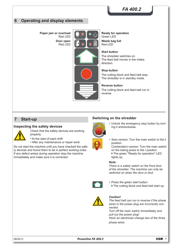**FA 400.2**

# **6 Operating and display elements**

**Paper jam or overload** Red LED **Door open** Red LED



**Ready for operation** Green LED **Waste bag full** Red LED

#### **Start button**

The shredder switches on. The feed belt moves in the intake direction.

#### **Stop button**

The cutting block and feed belt stop. The shredder is in standby mode.

#### **Reverse button**

The cutting block and feed belt run in reverse.

#### **7 Start-up**

#### **Inspecting the safety devices**



Check that the safety devices are working properly:

• At the start of each shift

• After any maintenance or repair work

Do not start the machine until you have checked the safety devices and found them to be in perfect working order. If any defect arises during operation stop the machine immediately and make sure it is corrected.

#### **Switching on the shredder**



- Unlock the emergency stop button by turning it anticlockwise.
- Solo-version: Turn the main switch to the **I** position.

Combination-version: Turn the main switch on the baling press to the I position. The green "Ready for operation" LED lights up.

#### *Note:*

*There is a safety switch on the front door of the shredder. The machine can only be switched on when the door is shut.*



• Press the green start button.

▶ The cutting block and feed belt start up.



#### *Caution!*

*The feed belt can run in reverse if the phase wires in the power plug are incorrectly connected. Turn off the main switch immediately and pull out the power plug!* 

*Have an electrician change two of the three phase wires*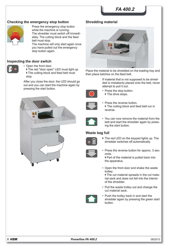# **FA 400.2**

#### **Checking the emergency stop button**



Press the emergency stop button while the machine is running. The shredder must switch off immediately. The cutting block and the feed belt must stop.

The machine will only start again once you have pulled out the emergency stop button again.

#### **Inspecting the door switch**



• Open the front door.

The red "door open" LED must light up. ▶ The cutting block and feed belt must stop.

After you close the door, the LED should go out and you can start the machine again by pressing the start button.



#### **Shredding material**



Place the material to be shredded on the loading tray and then place batches on the feed belt.

> If material that is not supposed to be shredded is mistakenly placed onto the belt, never attempt to pull it out.



- Press the stop button.  $\triangleright$  The drive stops.
- 
- Press the reverse button. ▶ The cutting block and feed belt run in reverse.



• You can now remove the material from the belt and start the shredder again by pressing the start button.

#### **Waste bag full**



▶ The red LED on the keypad lights up. The shredder switches off automatically.



• Press the reverse button for approx. 3 seconds.

▶ Part of the material is pulled back into the apparatus.

• Open the front door and shake the waste trolley.

▶ The cut material spreads in the cut material sack and does not fall into the interior of the shredder.

• Pull the waste trolley out and change the cut material sack.



• Push the trolley back in and start the shredder again by pressing the green start button.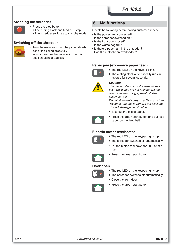#### **Stopping the shredder**



- Press the stop button.
	- The cutting block and feed belt stop.
	- ▶ The shredder switches to standby mode.

#### **Switching off the shredder**



• Turn the main switch on the paper shredder or the baling press to **0**. You can secure the main switch in this position using a padlock.

#### **8 Malfunctions**

Check the following before calling customer service:

- Is the power plug connected?
- Is the shredder switched on?
- Is the front door closed?
- Is the waste bag full?
- Is there a paper jam in the shredder?
- Has the motor been overloaded?

#### **Paper jam (excessive paper feed)**



▶ The red LED on the keypad blinks

reverse for several seconds.

The cutting block automatically runs in



#### *Caution!*

*The blade rollers can still cause injuries even while they are not running. Do not reach into the cutting apparatus! Wear safety gloves!*

*Do not alternately press the "Forwards" and "Reverse" buttons to remove the blockage. This will damage the shredder.*

• Take out the pile of paper.



• Press the green start button and put less paper on the feed belt.

#### **Electric motor overheated**



- The red LED on the keypad lights up.
- The shredder switches off automatically.
- Let the motor cool down for 20 30 minutes.



• Press the green start button.

#### **Door open**



- ▶ The red LED on the keypad lights up.
	- $\blacktriangleright$  The shredder switches off automatically.
	- Close the front door.
	- Press the green start button.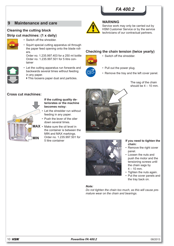# **FA 400.2**

Service work may only be carried out by HSM Customer Service or by the service technicians of our contractual partners.

**Checking the chain tension (twice yearly)** • Switch off the shredder.

# **9 Maintenance and care WARNING**

#### **Cleaning the cutting block Strip cut machines: (1 x daily)**



- Switch off the shredder.
- Squirt special cutting apparatus oil through the paper feed opening onto the blade rollers.

Order no. 1.235.997.403 for a 250 ml bottle Order no. 1.235.997.501 for 5 litre container



- Let the cutting apparatus run forwards and backwards several times without feeding in any paper.
- $\triangleright$  This loosens paper dust and particles.

# • Pull out the power plug.

• Remove the tray and the left cover panel.

The sag of the chain should be  $4 - 10$  mm.



**Cross cut machines:**

#### **If the cutting quality deteriorates or the machine becomes noisy:**

- Let the shredder run without feeding in any paper.
- Push the lever of the oiler down several times.
- MAX Make sure the oil level in the container is between the MIN and MAX markings. Order no. 1.235.997.501 for





# **chain:**

- Remove the right cover panel.
- Loosen the nuts and push the motor and the tensioning screws until the chain sags by  $4 - 10$  mm.
- Tighten the nuts again.
- Put the cover panels and the tray back on.

#### *Note:*

*Do not tighten the chain too much, as this will cause premature wear on the chain and bearings.*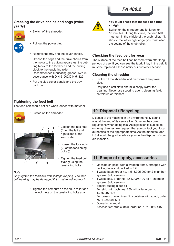#### **Greasing the drive chains and cogs (twice yearly)**



- Switch off the shredder.
- Pull out the power plug.
	- Remove the tray and the cover panels.
	- Grease the cogs and the drive chains from the motor to the cutting apparatus, the cutting block to the feed belt and the cutting block to the regulating roller. Recommended lubricating grease: K2K in accordance with DIN 51502/DIN 51825
	- Put the side cover panels and the tray back on.

#### **Tightening the feed belt**

The feed belt should not slip when loaded with material.



• Switch off the shredder.



- Loosen the hex nuts (1) on the left and right sides of the snub roller.
- Loosen the lock nuts (2) of the tensioning bolts (3).
- Tighten the feed belt **evenly** using the tensioning bolts.

#### *Note:*

*Only tighten the feed belt until it stops slipping. The feed belt bearing may be damaged if it is tightened too much.*

> • Tighten the hex nuts on the snub roller and the lock nuts on the tensioning bolts again.



#### **You must check that the feed belt runs straight:**

Switch on the shredder and let it run for 10 minutes. During this time, the feed belt must run in the middle of the snub roller. If it slips to the left or right edge, you must alter the setting of the snub roller.

#### **Checking the feed belt for wear**

The surface of the feed belt can become worn after long periods of use. If you can see the fabric inlay in the belt, it must be replaced. Please notify our customer service.

#### **Cleaning the shredder:**

- Switch off the shredder and disconnect the power plug.
- Only use a soft cloth and mild soapy water for cleaning. Never use scouring agent, cleaning fluid, petroleum or thinners.

## **10 Disposal / Recycling**

Dispose of the machine in an environmentally sound way at the end of its service life. Observe the current regulations when doing this. As legislation is subject to ongoing changes, we request that you contact your local authorities at the appropriate time. As the manufacturer, HSM would be glad to advise you on the disposal of your old machine.

#### **11 Scope of supply, accessories**

- Machine on pallet with a wooden frame, strapped with packing tape and packed in foil
- 4 waste bags, order no. 1.513.995.000 for 2-chamber system (Solo version)
- 1 waste bag, order no. 1.513.995.100 for 1-chamber system (Solo version)
- Special cutting block oil For strip cut machines: 250 ml bottle, order no. 1.235.997.403 For cross cut machines: 5 l container with spout, order no. 1.235.997.501
- Operating manual
- Accessories: strip curtain, order no. 1.513.050.445